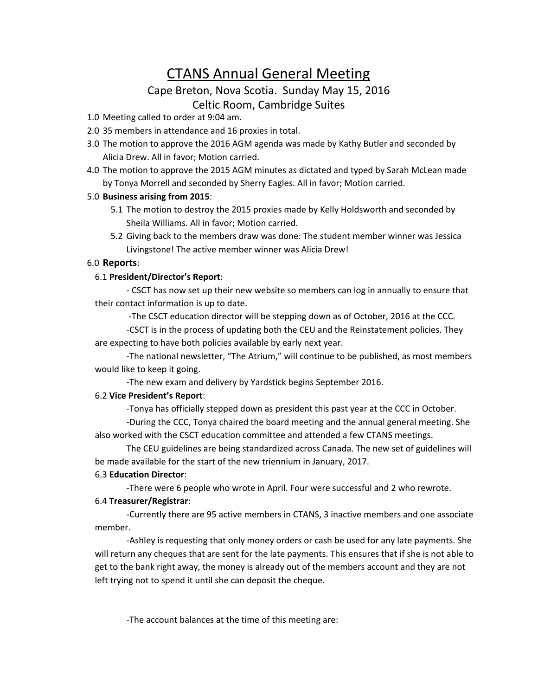# CTANS Annual General Meeting

## Cape Breton, Nova Scotia. Sunday May 15, 2016 Celtic Room, Cambridge Suites

- 1.0 Meeting called to order at 9:04 am.
- 2.0 35 members in attendance and 16 proxies in total.
- 3.0 The motion to approve the 2016 AGM agenda was made by Kathy Butler and seconded by Alicia Drew. All in favor; Motion carried.
- 4.0 The motion to approve the 2015 AGM minutes as dictated and typed by Sarah McLean made by Tonya Morrell and seconded by Sherry Eagles. All in favor; Motion carried.

#### 5.0 **Business arising from 2015**:

- 5.1 The motion to destroy the 2015 proxies made by Kelly Holdsworth and seconded by Sheila Williams. All in favor; Motion carried.
- 5.2 Giving back to the members draw was done: The student member winner was Jessica Livingstone! The active member winner was Alicia Drew!

### 6.0 **Reports**:

#### 6.1 **President/Director's Report**:

- CSCT has now set up their new website so members can log in annually to ensure that their contact information is up to date.

-The CSCT education director will be stepping down as of October, 2016 at the CCC.

-CSCT is in the process of updating both the CEU and the Reinstatement policies. They are expecting to have both policies available by early next year.

-The national newsletter, "The Atrium," will continue to be published, as most members would like to keep it going.

-The new exam and delivery by Yardstick begins September 2016.

#### 6.2 **Vice President's Report**:

-Tonya has officially stepped down as president this past year at the CCC in October.

-During the CCC, Tonya chaired the board meeting and the annual general meeting. She also worked with the CSCT education committee and attended a few CTANS meetings.

The CEU guidelines are being standardized across Canada. The new set of guidelines will be made available for the start of the new triennium in January, 2017.

#### 6.3 **Education Director**:

-There were 6 people who wrote in April. Four were successful and 2 who rewrote.

#### 6.4 **Treasurer/Registrar**:

-Currently there are 95 active members in CTANS, 3 inactive members and one associate member.

-Ashley is requesting that only money orders or cash be used for any late payments. She will return any cheques that are sent for the late payments. This ensures that if she is not able to get to the bank right away, the money is already out of the members account and they are not left trying not to spend it until she can deposit the cheque.

-The account balances at the time of this meeting are: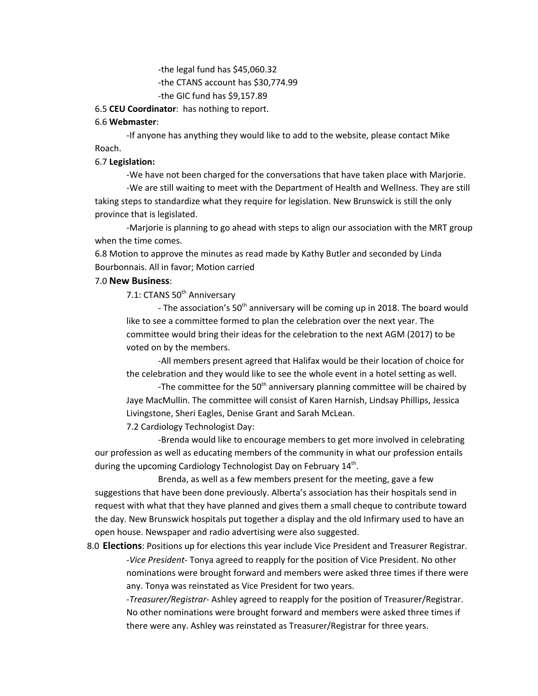-the legal fund has \$45,060.32 -the CTANS account has \$30,774.99 -the GIC fund has \$9,157.89

#### 6.5 **CEU Coordinator**: has nothing to report.

#### 6.6 **Webmaster**:

-If anyone has anything they would like to add to the website, please contact Mike Roach.

#### 6.7 **Legislation:**

-We have not been charged for the conversations that have taken place with Marjorie.

-We are still waiting to meet with the Department of Health and Wellness. They are still taking steps to standardize what they require for legislation. New Brunswick is still the only province that is legislated.

-Marjorie is planning to go ahead with steps to align our association with the MRT group when the time comes.

6.8 Motion to approve the minutes as read made by Kathy Butler and seconded by Linda Bourbonnais. All in favor; Motion carried

#### 7.0 **New Business**:

7.1: CTANS 50<sup>th</sup> Anniversary

- The association's 50<sup>th</sup> anniversary will be coming up in 2018. The board would like to see a committee formed to plan the celebration over the next year. The committee would bring their ideas for the celebration to the next AGM (2017) to be voted on by the members.

-All members present agreed that Halifax would be their location of choice for the celebration and they would like to see the whole event in a hotel setting as well.

-The committee for the 50<sup>th</sup> anniversary planning committee will be chaired by Jaye MacMullin. The committee will consist of Karen Harnish, Lindsay Phillips, Jessica Livingstone, Sheri Eagles, Denise Grant and Sarah McLean.

7.2 Cardiology Technologist Day:

-Brenda would like to encourage members to get more involved in celebrating our profession as well as educating members of the community in what our profession entails during the upcoming Cardiology Technologist Day on February 14<sup>th</sup>.

Brenda, as well as a few members present for the meeting, gave a few suggestions that have been done previously. Alberta's association has their hospitals send in request with what that they have planned and gives them a small cheque to contribute toward the day. New Brunswick hospitals put together a display and the old Infirmary used to have an open house. Newspaper and radio advertising were also suggested.

8.0 **Elections**: Positions up for elections this year include Vice President and Treasurer Registrar. -*Vice President-* Tonya agreed to reapply for the position of Vice President. No other nominations were brought forward and members were asked three times if there were any. Tonya was reinstated as Vice President for two years.

> -*Treasurer/Registrar*- Ashley agreed to reapply for the position of Treasurer/Registrar. No other nominations were brought forward and members were asked three times if there were any. Ashley was reinstated as Treasurer/Registrar for three years.